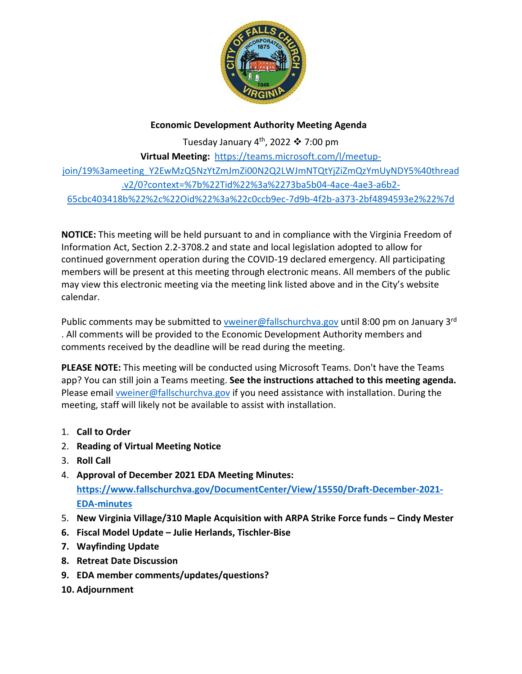

## **Economic Development Authority Meeting Agenda**

Tuesday January  $4^{th}$ , 2022  $\clubsuit$  7:00 pm **Virtual Meeting:** [https://teams.microsoft.com/l/meetup](https://teams.microsoft.com/l/meetup-join/19%3ameeting_Y2EwMzQ5NzYtZmJmZi00N2Q2LWJmNTQtYjZiZmQzYmUyNDY5%40thread.v2/0?context=%7b%22Tid%22%3a%2273ba5b04-4ace-4ae3-a6b2-65cbc403418b%22%2c%22Oid%22%3a%22c0ccb9ec-7d9b-4f2b-a373-2bf4894593e2%22%7d)[join/19%3ameeting\\_Y2EwMzQ5NzYtZmJmZi00N2Q2LWJmNTQtYjZiZmQzYmUyNDY5%40thread](https://teams.microsoft.com/l/meetup-join/19%3ameeting_Y2EwMzQ5NzYtZmJmZi00N2Q2LWJmNTQtYjZiZmQzYmUyNDY5%40thread.v2/0?context=%7b%22Tid%22%3a%2273ba5b04-4ace-4ae3-a6b2-65cbc403418b%22%2c%22Oid%22%3a%22c0ccb9ec-7d9b-4f2b-a373-2bf4894593e2%22%7d) [.v2/0?context=%7b%22Tid%22%3a%2273ba5b04-4ace-4ae3-a6b2-](https://teams.microsoft.com/l/meetup-join/19%3ameeting_Y2EwMzQ5NzYtZmJmZi00N2Q2LWJmNTQtYjZiZmQzYmUyNDY5%40thread.v2/0?context=%7b%22Tid%22%3a%2273ba5b04-4ace-4ae3-a6b2-65cbc403418b%22%2c%22Oid%22%3a%22c0ccb9ec-7d9b-4f2b-a373-2bf4894593e2%22%7d) [65cbc403418b%22%2c%22Oid%22%3a%22c0ccb9ec-7d9b-4f2b-a373-2bf4894593e2%22%7d](https://teams.microsoft.com/l/meetup-join/19%3ameeting_Y2EwMzQ5NzYtZmJmZi00N2Q2LWJmNTQtYjZiZmQzYmUyNDY5%40thread.v2/0?context=%7b%22Tid%22%3a%2273ba5b04-4ace-4ae3-a6b2-65cbc403418b%22%2c%22Oid%22%3a%22c0ccb9ec-7d9b-4f2b-a373-2bf4894593e2%22%7d)

**NOTICE:** This meeting will be held pursuant to and in compliance with the Virginia Freedom of Information Act, Section 2.2-3708.2 and state and local legislation adopted to allow for continued government operation during the COVID-19 declared emergency. All participating members will be present at this meeting through electronic means. All members of the public may view this electronic meeting via the meeting link listed above and in the City's website calendar.

Public comments may be submitted t[o vweiner@fallschurchva.gov](mailto:vweiner@fallschurchva.gov) until 8:00 pm on January 3<sup>rd</sup> . All comments will be provided to the Economic Development Authority members and comments received by the deadline will be read during the meeting.

**PLEASE NOTE:** This meeting will be conducted using Microsoft Teams. Don't have the Teams app? You can still join a Teams meeting. **See the instructions attached to this meeting agenda.**  Please email [vweiner@fallschurchva.gov](mailto:vweiner@fallschurchva.gov) if you need assistance with installation. During the meeting, staff will likely not be available to assist with installation.

- 1. **Call to Order**
- 2. **Reading of Virtual Meeting Notice**
- 3. **Roll Call**
- 4. **Approval of December 2021 EDA Meeting Minutes: [https://www.fallschurchva.gov/DocumentCenter/View/15550/Draft-December-2021-](https://www.fallschurchva.gov/DocumentCenter/View/15550/Draft-December-2021-EDA-minutes) [EDA-minutes](https://www.fallschurchva.gov/DocumentCenter/View/15550/Draft-December-2021-EDA-minutes)**
- 5. **New Virginia Village/310 Maple Acquisition with ARPA Strike Force funds – Cindy Mester**
- **6. Fiscal Model Update – Julie Herlands, Tischler-Bise**
- **7. Wayfinding Update**
- **8. Retreat Date Discussion**
- **9. EDA member comments/updates/questions?**
- **10. Adjournment**